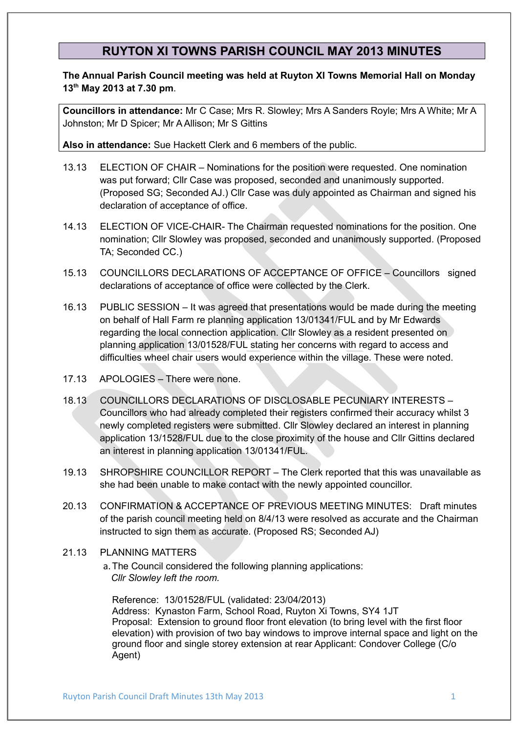## **RUYTON XI TOWNS PARISH COUNCIL MAY 2013 MINUTES**

**The Annual Parish Council meeting was held at Ruyton XI Towns Memorial Hall on Monday 13th May 2013 at 7.30 pm**.

**Councillors in attendance:** Mr C Case; Mrs R. Slowley; Mrs A Sanders Royle; Mrs A White; Mr A Johnston; Mr D Spicer; Mr A Allison; Mr S Gittins

**Also in attendance:** Sue Hackett Clerk and 6 members of the public.

- 13.13 ELECTION OF CHAIR Nominations for the position were requested. One nomination was put forward; Cllr Case was proposed, seconded and unanimously supported. (Proposed SG; Seconded AJ.) Cllr Case was duly appointed as Chairman and signed his declaration of acceptance of office.
- 14.13 ELECTION OF VICE-CHAIR- The Chairman requested nominations for the position. One nomination; Cllr Slowley was proposed, seconded and unanimously supported. (Proposed TA; Seconded CC.)
- 15.13 COUNCILLORS DECLARATIONS OF ACCEPTANCE OF OFFICE Councillors signed declarations of acceptance of office were collected by the Clerk.
- 16.13 PUBLIC SESSION It was agreed that presentations would be made during the meeting on behalf of Hall Farm re planning application 13/01341/FUL and by Mr Edwards regarding the local connection application. Cllr Slowley as a resident presented on planning application 13/01528/FUL stating her concerns with regard to access and difficulties wheel chair users would experience within the village. These were noted.
- 17.13 APOLOGIES There were none.
- 18.13 COUNCILLORS DECLARATIONS OF DISCLOSABLE PECUNIARY INTERESTS Councillors who had already completed their registers confirmed their accuracy whilst 3 newly completed registers were submitted. Cllr Slowley declared an interest in planning application 13/1528/FUL due to the close proximity of the house and Cllr Gittins declared an interest in planning application 13/01341/FUL.
- 19.13 SHROPSHIRE COUNCILLOR REPORT The Clerk reported that this was unavailable as she had been unable to make contact with the newly appointed councillor.
- 20.13 CONFIRMATION & ACCEPTANCE OF PREVIOUS MEETING MINUTES: Draft minutes of the parish council meeting held on 8/4/13 were resolved as accurate and the Chairman instructed to sign them as accurate. (Proposed RS; Seconded AJ)
- 21.13 PLANNING MATTERS
	- a.The Council considered the following planning applications: *Cllr Slowley left the room.*

Reference: 13/01528/FUL (validated: 23/04/2013) Address: Kynaston Farm, School Road, Ruyton Xi Towns, SY4 1JT Proposal: Extension to ground floor front elevation (to bring level with the first floor elevation) with provision of two bay windows to improve internal space and light on the ground floor and single storey extension at rear Applicant: Condover College (C/o Agent)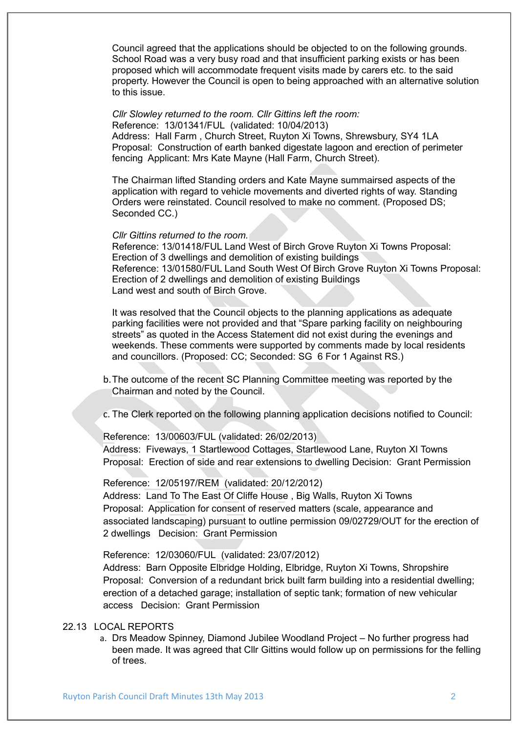Council agreed that the applications should be objected to on the following grounds. School Road was a very busy road and that insufficient parking exists or has been proposed which will accommodate frequent visits made by carers etc. to the said property. However the Council is open to being approached with an alternative solution to this issue.

*Cllr Slowley returned to the room. Cllr Gittins left the room:* Reference: 13/01341/FUL (validated: 10/04/2013) Address: Hall Farm , Church Street, Ruyton Xi Towns, Shrewsbury, SY4 1LA Proposal: Construction of earth banked digestate lagoon and erection of perimeter fencing Applicant: Mrs Kate Mayne (Hall Farm, Church Street).

The Chairman lifted Standing orders and Kate Mayne summairsed aspects of the application with regard to vehicle movements and diverted rights of way. Standing Orders were reinstated. Council resolved to make no comment. (Proposed DS; Seconded CC.)

*Cllr Gittins returned to the room.*

Reference: 13/01418/FUL Land West of Birch Grove Ruyton Xi Towns Proposal: Erection of 3 dwellings and demolition of existing buildings Reference: 13/01580/FUL Land South West Of Birch Grove Ruyton Xi Towns Proposal: Erection of 2 dwellings and demolition of existing Buildings Land west and south of Birch Grove.

It was resolved that the Council objects to the planning applications as adequate parking facilities were not provided and that "Spare parking facility on neighbouring streets" as quoted in the Access Statement did not exist during the evenings and weekends. These comments were supported by comments made by local residents and councillors. (Proposed: CC; Seconded: SG 6 For 1 Against RS.)

- b.The outcome of the recent SC Planning Committee meeting was reported by the Chairman and noted by the Council.
- c. The Clerk reported on the following planning application decisions notified to Council:

Reference: 13/00603/FUL (validated: 26/02/2013)

Address: Fiveways, 1 Startlewood Cottages, Startlewood Lane, Ruyton XI Towns Proposal: Erection of side and rear extensions to dwelling Decision: Grant Permission

Reference: 12/05197/REM (validated: 20/12/2012)

Address: Land To The East Of Cliffe House , Big Walls, Ruyton Xi Towns Proposal: Application for consent of reserved matters (scale, appearance and associated landscaping) pursuant to outline permission 09/02729/OUT for the erection of 2 dwellings Decision: Grant Permission

Reference: 12/03060/FUL (validated: 23/07/2012)

Address: Barn Opposite Elbridge Holding, Elbridge, Ruyton Xi Towns, Shropshire Proposal: Conversion of a redundant brick built farm building into a residential dwelling; erection of a detached garage; installation of septic tank; formation of new vehicular access Decision: Grant Permission

## 22.13 LOCAL REPORTS

a. Drs Meadow Spinney, Diamond Jubilee Woodland Project – No further progress had been made. It was agreed that Cllr Gittins would follow up on permissions for the felling of trees.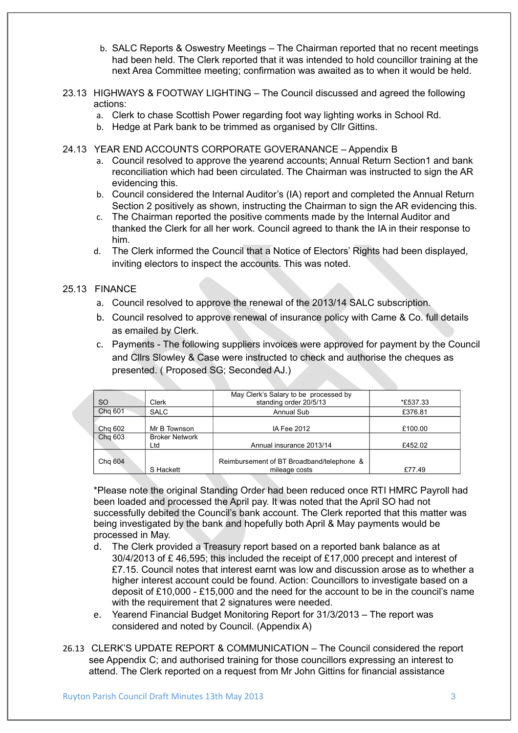- b. SALC Reports & Oswestry Meetings The Chairman reported that no recent meetings had been held. The Clerk reported that it was intended to hold councillor training at the next Area Committee meeting; confirmation was awaited as to when it would be held.
- 23.13 HIGHWAYS & FOOTWAY LIGHTING The Council discussed and agreed the following actions:
	- a. Clerk to chase Scottish Power regarding foot way lighting works in School Rd.
	- b. Hedge at Park bank to be trimmed as organised by Cllr Gittins.
- 24.13 YEAR END ACCOUNTS CORPORATE GOVERANANCE Appendix B
	- a. Council resolved to approve the yearend accounts; Annual Return Section1 and bank reconciliation which had been circulated. The Chairman was instructed to sign the AR evidencing this.
	- b. Council considered the Internal Auditor's (IA) report and completed the Annual Return Section 2 positively as shown, instructing the Chairman to sign the AR evidencing this.
	- c. The Chairman reported the positive comments made by the Internal Auditor and thanked the Clerk for all her work. Council agreed to thank the IA in their response to him.
	- d. The Clerk informed the Council that a Notice of Electors' Rights had been displayed, inviting electors to inspect the accounts. This was noted.

## 25.13 FINANCE

- a. Council resolved to approve the renewal of the 2013/14 SALC subscription.
- b. Council resolved to approve renewal of insurance policy with Came & Co. full details as emailed by Clerk.
- c. Payments The following suppliers invoices were approved for payment by the Council and Cllrs Slowley & Case were instructed to check and authorise the cheques as presented. ( Proposed SG; Seconded AJ.)

| <b>SO</b>          | Clerk                                        | May Clerk's Salary to be processed by<br>standing order 20/5/13 | *£537.33           |
|--------------------|----------------------------------------------|-----------------------------------------------------------------|--------------------|
| Chg 601            | <b>SALC</b>                                  | <b>Annual Sub</b>                                               | £376.81            |
| Chg 602<br>Chg 603 | Mr B Townson<br><b>Broker Network</b><br>Ltd | IA Fee 2012<br>Annual insurance 2013/14                         | £100.00<br>£452.02 |
| Chg 604            | S Hackett                                    | Reimbursement of BT Broadband/telephone &<br>mileage costs      | £77.49             |

\*Please note the original Standing Order had been reduced once RTI HMRC Payroll had been loaded and processed the April pay. It was noted that the April SO had not successfully debited the Council's bank account. The Clerk reported that this matter was being investigated by the bank and hopefully both April & May payments would be processed in May.

- d. The Clerk provided a Treasury report based on a reported bank balance as at 30/4/2013 of £ 46,595; this included the receipt of £17,000 precept and interest of £7.15. Council notes that interest earnt was low and discussion arose as to whether a higher interest account could be found. Action: Councillors to investigate based on a deposit of £10,000 - £15,000 and the need for the account to be in the council's name with the requirement that 2 signatures were needed.
- e. Yearend Financial Budget Monitoring Report for 31/3/2013 The report was considered and noted by Council. (Appendix A)
- 26.13 CLERK'S UPDATE REPORT & COMMUNICATION The Council considered the report see Appendix C; and authorised training for those councillors expressing an interest to attend. The Clerk reported on a request from Mr John Gittins for financial assistance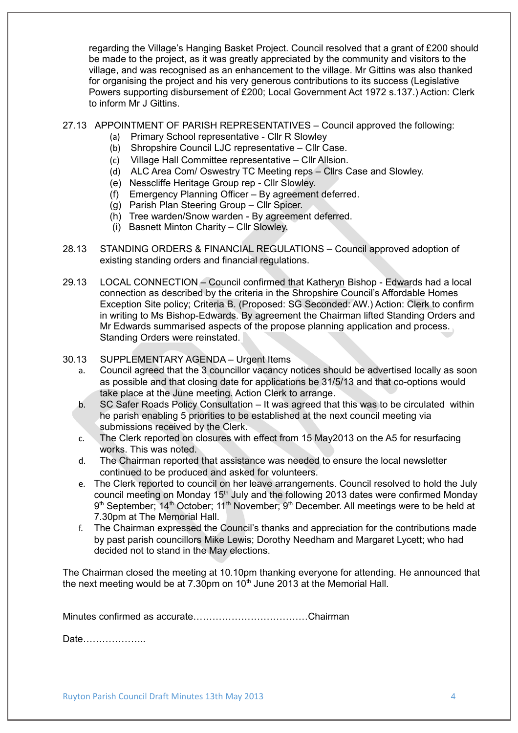regarding the Village's Hanging Basket Project. Council resolved that a grant of £200 should be made to the project, as it was greatly appreciated by the community and visitors to the village, and was recognised as an enhancement to the village. Mr Gittins was also thanked for organising the project and his very generous contributions to its success (Legislative Powers supporting disbursement of £200; Local Government Act 1972 s.137.) Action: Clerk to inform Mr J Gittins.

## 27.13 APPOINTMENT OF PARISH REPRESENTATIVES – Council approved the following:

- (a) Primary School representative Cllr R Slowley
- (b) Shropshire Council LJC representative Cllr Case.
- (c) Village Hall Committee representative Cllr Allsion.
- (d) ALC Area Com/ Oswestry TC Meeting reps Cllrs Case and Slowley.
- (e) Nesscliffe Heritage Group rep Cllr Slowley.
- (f) Emergency Planning Officer By agreement deferred.
- (g) Parish Plan Steering Group Cllr Spicer.
- (h) Tree warden/Snow warden By agreement deferred.
- (i) Basnett Minton Charity Cllr Slowley.
- 28.13 STANDING ORDERS & FINANCIAL REGULATIONS Council approved adoption of existing standing orders and financial regulations.
- 29.13 LOCAL CONNECTION Council confirmed that Katheryn Bishop Edwards had a local connection as described by the criteria in the Shropshire Council's Affordable Homes Exception Site policy; Criteria B. (Proposed: SG Seconded: AW.) Action: Clerk to confirm in writing to Ms Bishop-Edwards. By agreement the Chairman lifted Standing Orders and Mr Edwards summarised aspects of the propose planning application and process. Standing Orders were reinstated.
- 30.13 SUPPLEMENTARY AGENDA Urgent Items
	- a. Council agreed that the 3 councillor vacancy notices should be advertised locally as soon as possible and that closing date for applications be 31/5/13 and that co-options would take place at the June meeting. Action Clerk to arrange.
	- b. SC Safer Roads Policy Consultation It was agreed that this was to be circulated within he parish enabling 5 priorities to be established at the next council meeting via submissions received by the Clerk.
	- c. The Clerk reported on closures with effect from 15 May2013 on the A5 for resurfacing works. This was noted.
	- d. The Chairman reported that assistance was needed to ensure the local newsletter continued to be produced and asked for volunteers.
	- e. The Clerk reported to council on her leave arrangements. Council resolved to hold the July council meeting on Monday 15<sup>th</sup> July and the following 2013 dates were confirmed Monday 9<sup>th</sup> September; 14<sup>th</sup> October; 11<sup>th</sup> November; 9<sup>th</sup> December. All meetings were to be held at 7.30pm at The Memorial Hall.
	- f. The Chairman expressed the Council's thanks and appreciation for the contributions made by past parish councillors Mike Lewis; Dorothy Needham and Margaret Lycett; who had decided not to stand in the May elections.

The Chairman closed the meeting at 10.10pm thanking everyone for attending. He announced that the next meeting would be at  $7.30 \text{pm}$  on  $10^{\text{th}}$  June 2013 at the Memorial Hall.

Minutes confirmed as accurate………………………………Chairman

Date………………..